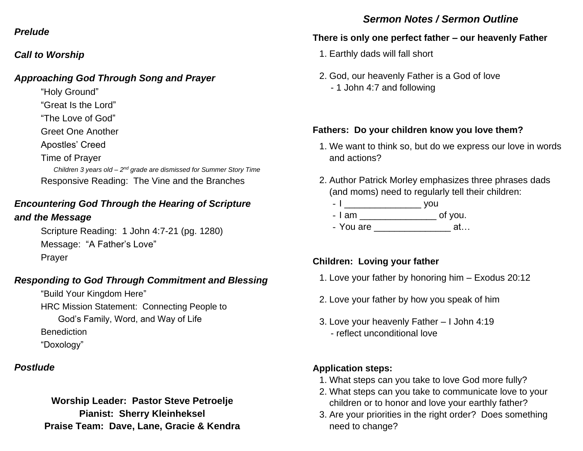#### *Prelude*

### *Call to Worship*

### *Approaching God Through Song and Prayer*

"Holy Ground"

- "Great Is the Lord"
- "The Love of God"
- Greet One Another

Apostles' Creed

#### Time of Prayer

Children 3 years old – 2<sup>nd</sup> grade are dismissed for Summer Story Time Responsive Reading: The Vine and the Branches

# *Encountering God Through the Hearing of Scripture*

### *and the Message*

Scripture Reading: 1 John 4:7-21 (pg. 1280) Message: "A Father's Love" Prayer

# *Responding to God Through Commitment and Blessing*

"Build Your Kingdom Here" HRC Mission Statement: Connecting People to God's Family, Word, and Way of Life **Benediction** "Doxology"

# *Postlude*

### **Worship Leader: Pastor Steve Petroelje Pianist: Sherry Kleinheksel Praise Team: Dave, Lane, Gracie & Kendra**

# *Sermon Notes / Sermon Outline*

# **There is only one perfect father – our heavenly Father**

- 1. Earthly dads will fall short
- 2. God, our heavenly Father is a God of love - 1 John 4:7 and following

### **Fathers: Do your children know you love them?**

- 1. We want to think so, but do we express our love in words and actions?
- 2. Author Patrick Morley emphasizes three phrases dads (and moms) need to regularly tell their children:
	- I \_\_\_\_\_\_\_\_\_\_\_\_\_\_\_ you
	- I am \_\_\_\_\_\_\_\_\_\_\_\_\_\_\_\_\_\_\_\_\_\_\_ of you.
	- You are  $\qquad \qquad \text{at...}$

# **Children: Loving your father**

- 1. Love your father by honoring him Exodus 20:12
- 2. Love your father by how you speak of him
- 3. Love your heavenly Father I John 4:19 - reflect unconditional love

# **Application steps:**

- 1. What steps can you take to love God more fully?
- 2. What steps can you take to communicate love to your children or to honor and love your earthly father?
- 3. Are your priorities in the right order? Does something need to change?